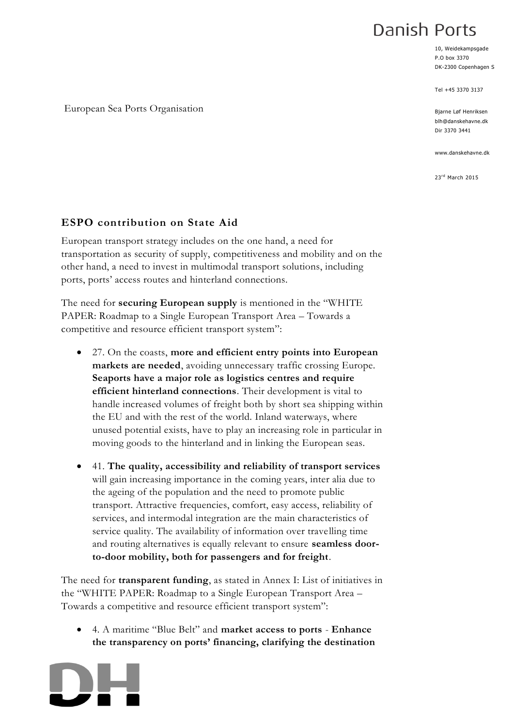# Danish Ports

10, Weidekampsgade P.O box 3370 DK-2300 Copenhagen S

Tel +45 3370 3137

Bjarne Løf Henriksen blh@danskehavne.dk Dir 3370 3441

www.danskehavne.dk

23rd March 2015

#### European Sea Ports Organisation

# **ESPO contribution on State Aid**

European transport strategy includes on the one hand, a need for transportation as security of supply, competitiveness and mobility and on the other hand, a need to invest in multimodal transport solutions, including ports, ports' access routes and hinterland connections.

The need for **securing European supply** is mentioned in the "WHITE PAPER: Roadmap to a Single European Transport Area – Towards a competitive and resource efficient transport system":

- 27. On the coasts, **more and efficient entry points into European markets are needed**, avoiding unnecessary traffic crossing Europe. **Seaports have a major role as logistics centres and require efficient hinterland connections**. Their development is vital to handle increased volumes of freight both by short sea shipping within the EU and with the rest of the world. Inland waterways, where unused potential exists, have to play an increasing role in particular in moving goods to the hinterland and in linking the European seas.
- 41. **The quality, accessibility and reliability of transport services** will gain increasing importance in the coming years, inter alia due to the ageing of the population and the need to promote public transport. Attractive frequencies, comfort, easy access, reliability of services, and intermodal integration are the main characteristics of service quality. The availability of information over travelling time and routing alternatives is equally relevant to ensure **seamless doorto-door mobility, both for passengers and for freight**.

The need for **transparent funding**, as stated in Annex I: List of initiatives in the "WHITE PAPER: Roadmap to a Single European Transport Area – Towards a competitive and resource efficient transport system":

 4. A maritime "Blue Belt" and **market access to ports** - **Enhance the transparency on ports' financing, clarifying the destination** 

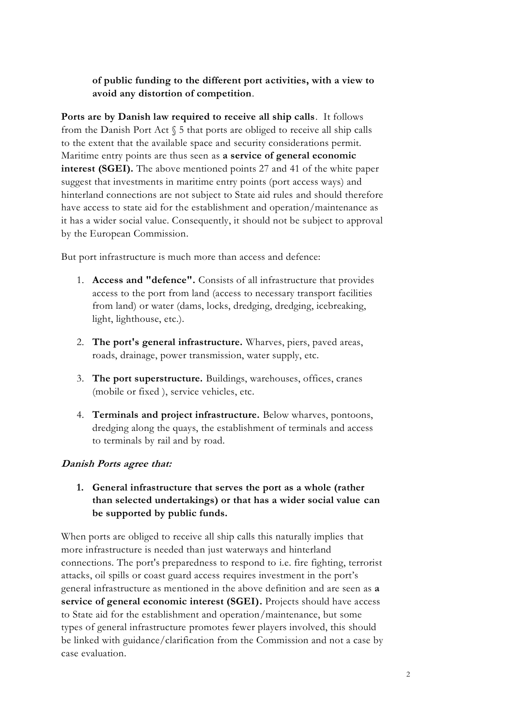**of public funding to the different port activities, with a view to avoid any distortion of competition**.

**Ports are by Danish law required to receive all ship calls**. It follows from the Danish Port Act § 5 that ports are obliged to receive all ship calls to the extent that the available space and security considerations permit. Maritime entry points are thus seen as **a service of general economic interest (SGEI).** The above mentioned points 27 and 41 of the white paper suggest that investments in maritime entry points (port access ways) and hinterland connections are not subject to State aid rules and should therefore have access to state aid for the establishment and operation/maintenance as it has a wider social value. Consequently, it should not be subject to approval by the European Commission.

But port infrastructure is much more than access and defence:

- 1. **Access and "defence".** Consists of all infrastructure that provides access to the port from land (access to necessary transport facilities from land) or water (dams, locks, dredging, dredging, icebreaking, light, lighthouse, etc.).
- 2. **The port's general infrastructure.** Wharves, piers, paved areas, roads, drainage, power transmission, water supply, etc.
- 3. **The port superstructure.** Buildings, warehouses, offices, cranes (mobile or fixed ), service vehicles, etc.
- 4. **Terminals and project infrastructure.** Below wharves, pontoons, dredging along the quays, the establishment of terminals and access to terminals by rail and by road.

# **Danish Ports agree that:**

**1. General infrastructure that serves the port as a whole (rather than selected undertakings) or that has a wider social value can be supported by public funds.** 

When ports are obliged to receive all ship calls this naturally implies that more infrastructure is needed than just waterways and hinterland connections. The port's preparedness to respond to i.e. fire fighting, terrorist attacks, oil spills or coast guard access requires investment in the port's general infrastructure as mentioned in the above definition and are seen as **a service of general economic interest (SGEI).** Projects should have access to State aid for the establishment and operation/maintenance, but some types of general infrastructure promotes fewer players involved, this should be linked with guidance/clarification from the Commission and not a case by case evaluation.